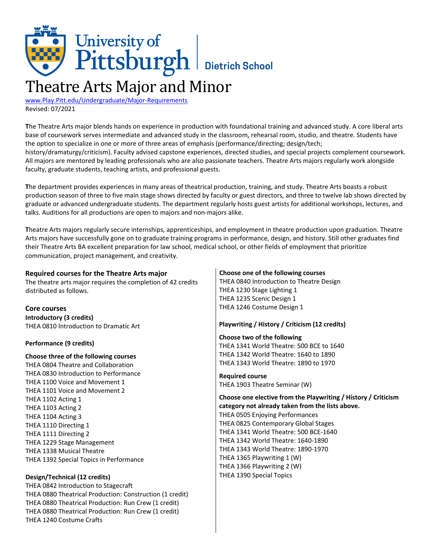# University of<br>Pittsburgh Dietrich School Theatre Arts Major and Minor

[www.Play.Pitt.edu/Undergraduate/Major-Requirements](http://www.play.pitt.edu/undergraduate/major-requirements) Revised: 07/2021

**T**he Theatre Arts major blends hands on experience in production with foundational training and advanced study. A core liberal arts base of coursework serves intermediate and advanced study in the classroom, rehearsal room, studio, and theatre. Students have the option to specialize in one or more of three areas of emphasis (performance/directing; design/tech; history/dramaturgy/criticism). Faculty advised capstone experiences, directed studies, and special projects complement coursework. All majors are mentored by leading professionals who are also passionate teachers. Theatre Arts majors regularly work alongside faculty, graduate students, teaching artists, and professional guests.

**T**he department provides experiences in many areas of theatrical production, training, and study. Theatre Arts boasts a robust production season of three to five main stage shows directed by faculty or guest directors, and three to twelve lab shows directed by graduate or advanced undergraduate students. The department regularly hosts guest artists for additional workshops, lectures, and talks. Auditions for all productions are open to majors and non-majors alike.

**T**heatre Arts majors regularly secure internships, apprenticeships, and employment in theatre production upon graduation. Theatre Arts majors have successfully gone on to graduate training programs in performance, design, and history. Still other graduates find their Theatre Arts BA excellent preparation for law school, medical school, or other fields of employment that prioritize communication, project management, and creativity.

| <b>Required courses for the Theatre Arts major</b>           | Choose one of the following courses                            |
|--------------------------------------------------------------|----------------------------------------------------------------|
| The theatre arts major requires the completion of 42 credits | THEA 0840 Introduction to Theatre Design                       |
| distributed as follows.                                      | THEA 1230 Stage Lighting 1                                     |
|                                                              | THEA 1235 Scenic Design 1                                      |
| Core courses                                                 | THEA 1246 Costume Design 1                                     |
| <b>Introductory (3 credits)</b>                              |                                                                |
| THEA 0810 Introduction to Dramatic Art                       | Playwriting / History / Criticism (12 credits)                 |
|                                                              | Choose two of the following                                    |
| Performance (9 credits)                                      | THEA 1341 World Theatre: 500 BCE to 1640                       |
| Choose three of the following courses                        | THEA 1342 World Theatre: 1640 to 1890                          |
| THEA 0804 Theatre and Collaboration                          | THEA 1343 World Theatre: 1890 to 1970                          |
| THEA 0830 Introduction to Performance                        | <b>Required course</b>                                         |
| THEA 1100 Voice and Movement 1                               | THEA 1903 Theatre Seminar (W)                                  |
| THEA 1101 Voice and Movement 2                               |                                                                |
| THEA 1102 Acting 1                                           | Choose one elective from the Playwriting / History / Criticism |
| THEA 1103 Acting 2                                           | category not already taken from the lists above.               |
| THEA 1104 Acting 3                                           | THEA 0505 Enjoying Performances                                |
| THEA 1110 Directing 1                                        | THEA 0825 Contemporary Global Stages                           |
| THEA 1111 Directing 2                                        | THEA 1341 World Theatre: 500 BCE-1640                          |
| THEA 1229 Stage Management                                   | THEA 1342 World Theatre: 1640-1890                             |
| THEA 1338 Musical Theatre                                    | THEA 1343 World Theatre: 1890-1970                             |
| THEA 1392 Special Topics in Performance                      | THEA 1365 Playwriting 1 (W)                                    |
|                                                              | THEA 1366 Playwriting 2 (W)                                    |
| Design/Technical (12 credits)                                | THEA 1390 Special Topics                                       |
| THEA 0842 Introduction to Stagecraft                         |                                                                |
| THEA 0880 Theatrical Production: Construction (1 credit)     |                                                                |
| THEA 0880 Theatrical Production: Run Crew (1 credit)         |                                                                |
| THEA 0880 Theatrical Production: Run Crew (1 credit)         |                                                                |
| THEA 1240 Costume Crafts                                     |                                                                |